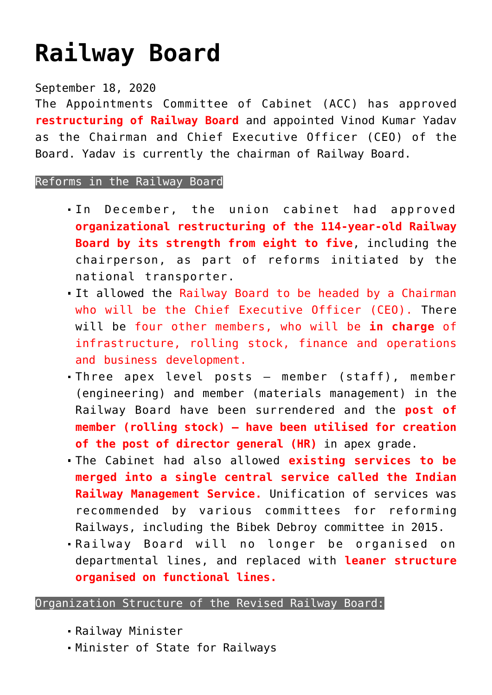## **[Railway Board](https://journalsofindia.com/railway-board/)**

## September 18, 2020

The Appointments Committee of Cabinet (ACC) has approved **restructuring of Railway Board** and appointed Vinod Kumar Yadav as the Chairman and Chief Executive Officer (CEO) of the Board. Yadav is currently the chairman of Railway Board.

## Reforms in the Railway Board

- In December, the union cabinet had approved **organizational restructuring of the 114-year-old Railway Board by its strength from eight to five**, including the chairperson, as part of reforms initiated by the national transporter.
- It allowed the Railway Board to be headed by a Chairman who will be the Chief Executive Officer (CEO). There will be four other members, who will be **in charge** of infrastructure, rolling stock, finance and operations and business development.
- Three apex level posts member (staff), member (engineering) and member (materials management) in the Railway Board have been surrendered and the **post of member (rolling stock) – have been utilised for creation of the post of director general (HR)** in apex grade.
- The Cabinet had also allowed **existing services to be merged into a single central service called the Indian Railway Management Service.** Unification of services was recommended by various committees for reforming Railways, including the Bibek Debroy committee in 2015.
- Railway Board will no longer be organised on departmental lines, and replaced with **leaner structure organised on functional lines.**

## Organization Structure of the Revised Railway Board:

- Railway Minister
- Minister of State for Railways